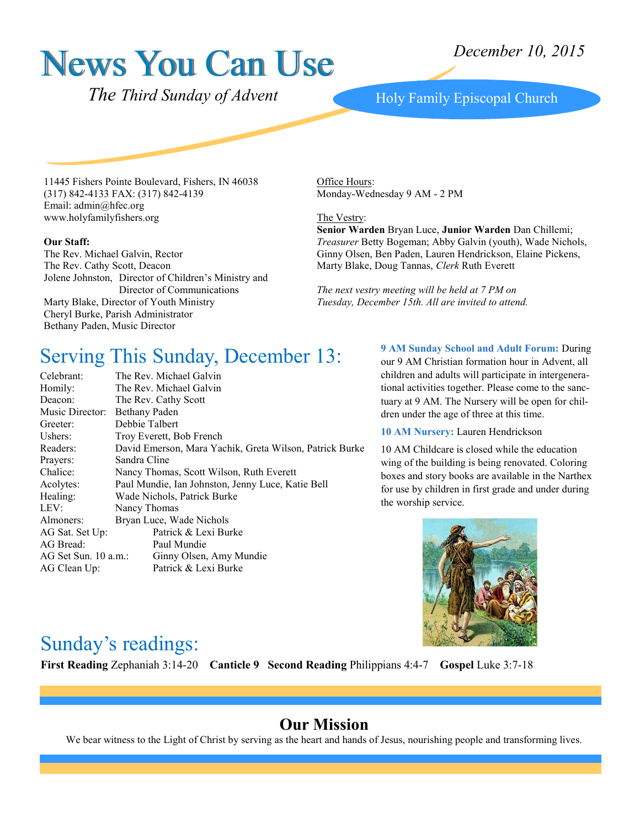# News You Can Use

*December 10, 2015*

 *The Third Sunday of Advent*

#### Holy Family Episcopal Church

11445 Fishers Pointe Boulevard, Fishers, IN 46038 (317) 842-4133 FAX: (317) 842-4139 Email: admin@hfec.org www.holyfamilyfishers.org

#### **Our Staff:**

The Rev. Michael Galvin, Rector The Rev. Cathy Scott, Deacon Jolene Johnston, Director of Children's Ministry and Director of Communications Marty Blake, Director of Youth Ministry Cheryl Burke, Parish Administrator Bethany Paden, Music Director

Office Hours: Monday-Wednesday 9 AM - 2 PM

#### The Vestry:

**Senior Warden** Bryan Luce, **Junior Warden** Dan Chillemi; *Treasurer* Betty Bogeman; Abby Galvin (youth), Wade Nichols, Ginny Olsen, Ben Paden, Lauren Hendrickson, Elaine Pickens, Marty Blake, Doug Tannas, *Clerk* Ruth Everett

*The next vestry meeting will be held at 7 PM on Tuesday, December 15th. All are invited to attend.*

#### Serving This Sunday, December 13:

| Celebrant:           | The Rev. Michael Galvin                                 |
|----------------------|---------------------------------------------------------|
| Homily:              | The Rev. Michael Galvin                                 |
| Deacon:              | The Rev. Cathy Scott                                    |
| Music Director:      | <b>Bethany Paden</b>                                    |
| Greeter:             | Debbie Talbert                                          |
| Ushers:              | Troy Everett, Bob French                                |
| Readers:             | David Emerson, Mara Yachik, Greta Wilson, Patrick Burke |
| Prayers:             | Sandra Cline                                            |
| Chalice:             | Nancy Thomas, Scott Wilson, Ruth Everett                |
| Acolytes:            | Paul Mundie, Ian Johnston, Jenny Luce, Katie Bell       |
| Healing:             | Wade Nichols, Patrick Burke                             |
| LEV:                 | Nancy Thomas                                            |
| Almoners:            | Bryan Luce, Wade Nichols                                |
| AG Sat. Set Up:      | Patrick & Lexi Burke                                    |
| AG Bread:            | Paul Mundie                                             |
| AG Set Sun. 10 a.m.: | Ginny Olsen, Amy Mundie                                 |
| AG Clean Up:         | Patrick & Lexi Burke                                    |

**9 AM Sunday School and Adult Forum:** During our 9 AM Christian formation hour in Advent, all children and adults will participate in intergenerational activities together. Please come to the sanctuary at 9 AM. The Nursery will be open for children under the age of three at this time.

**10 AM Nursery:** Lauren Hendrickson

10 AM Childcare is closed while the education wing of the building is being renovated. Coloring boxes and story books are available in the Narthex for use by children in first grade and under during the worship service.



#### Sunday's readings:

**First Reading** Zephaniah 3:14-20 **Canticle 9 Second Reading** Philippians 4:4-7 **Gospel** Luke 3:7-18

#### **Our Mission**

We bear witness to the Light of Christ by serving as the heart and hands of Jesus, nourishing people and transforming lives.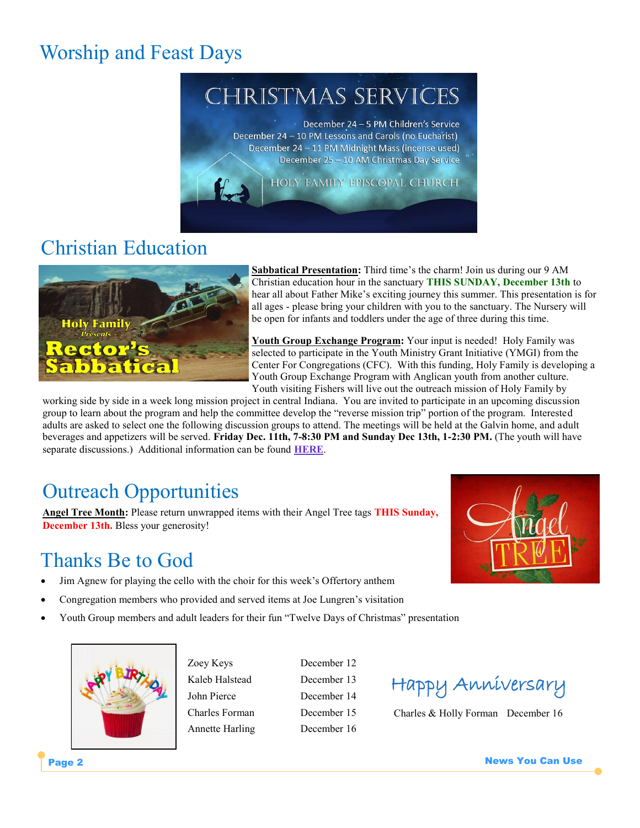## Worship and Feast Days

# **CHRISTMAS SERVICES**

December 24 - 5 PM Children's Service December 24 - 10 PM Lessons and Carols (no Eucharist) December 24 - 11 PM Midnight Mass (incense used) December 25 - 10 AM Christmas Day Service

HOLY FAMILY EPISCOPAL CHURCH

### Christian Education



**Sabbatical Presentation:** Third time's the charm! Join us during our 9 AM Christian education hour in the sanctuary **THIS SUNDAY, December 13th** to hear all about Father Mike's exciting journey this summer. This presentation is for all ages - please bring your children with you to the sanctuary. The Nursery will be open for infants and toddlers under the age of three during this time.

**Youth Group Exchange Program:** Your input is needed! Holy Family was selected to participate in the Youth Ministry Grant Initiative (YMGI) from the Center For Congregations (CFC). With this funding, Holy Family is developing a Youth Group Exchange Program with Anglican youth from another culture. Youth visiting Fishers will live out the outreach mission of Holy Family by

working side by side in a week long mission project in central Indiana. You are invited to participate in an upcoming discussion group to learn about the program and help the committee develop the "reverse mission trip" portion of the program. Interested adults are asked to select one the following discussion groups to attend. The meetings will be held at the Galvin home, and adult beverages and appetizers will be served. **Friday Dec. 11th, 7-8:30 PM and Sunday Dec 13th, 1-2:30 PM.** (The youth will have separate discussions.) Additional information can be found **[HERE](http://www.holyfamilyfishers.org/ymgi-youth-group-exchange/)**.

### Outreach Opportunities

**Angel Tree Month:** Please return unwrapped items with their Angel Tree tags **THIS Sunday, December 13th.** Bless your generosity!

1

### Thanks Be to God

- Jim Agnew for playing the cello with the choir for this week's Offertory anthem
- Congregation members who provided and served items at Joe Lungren's visitation
- Youth Group members and adult leaders for their fun "Twelve Days of Christmas" presentation



Zoey Keys December 12 Kaleb Halstead December 13 John Pierce December 14 Charles Forman December 15 Annette Harling December 16



Charles & Holly Forman December 16